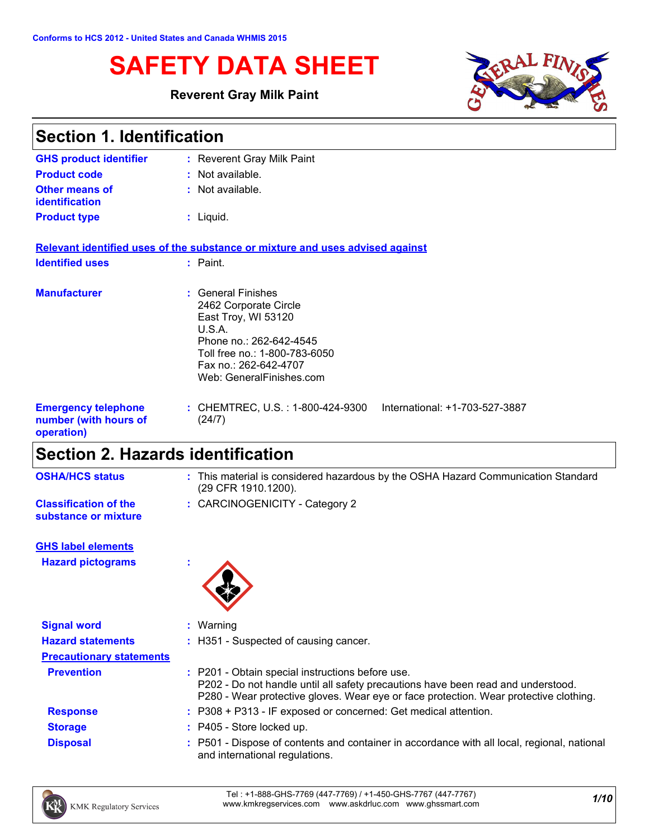# **SAFETY DATA SHEET**

#### **Reverent Gray Milk Paint**



| <b>Section 1. Identification</b>                                  |                                                                                                                                                                                               |  |
|-------------------------------------------------------------------|-----------------------------------------------------------------------------------------------------------------------------------------------------------------------------------------------|--|
| <b>GHS product identifier</b>                                     | : Reverent Gray Milk Paint                                                                                                                                                                    |  |
| <b>Product code</b>                                               | $:$ Not available.                                                                                                                                                                            |  |
| <b>Other means of</b><br><b>identification</b>                    | : Not available.                                                                                                                                                                              |  |
| <b>Product type</b>                                               | : Liquid.                                                                                                                                                                                     |  |
|                                                                   | Relevant identified uses of the substance or mixture and uses advised against                                                                                                                 |  |
| <b>Identified uses</b>                                            | $:$ Paint.                                                                                                                                                                                    |  |
| <b>Manufacturer</b>                                               | : General Finishes<br>2462 Corporate Circle<br>East Troy, WI 53120<br>U.S.A.<br>Phone no.: 262-642-4545<br>Toll free no.: 1-800-783-6050<br>Fax no.: 262-642-4707<br>Web: GeneralFinishes.com |  |
| <b>Emergency telephone</b><br>number (with hours of<br>operation) | International: +1-703-527-3887<br>: CHEMTREC, U.S. : 1-800-424-9300<br>(24/7)                                                                                                                 |  |

# **Section 2. Hazards identification**

| <b>OSHA/HCS status</b>                               | : This material is considered hazardous by the OSHA Hazard Communication Standard<br>(29 CFR 1910.1200). |
|------------------------------------------------------|----------------------------------------------------------------------------------------------------------|
| <b>Classification of the</b><br>substance or mixture | : CARCINOGENICITY - Category 2                                                                           |
| <b>GHS label elements</b>                            |                                                                                                          |
| <b>Hazard pictograms</b>                             |                                                                                                          |
|                                                      |                                                                                                          |
| <b>Signal word</b>                                   | $:$ Warning                                                                                              |
| <b>Hazard statements</b>                             | : H351 - Suspected of causing cancer.                                                                    |

|                 | P202 - Do not handle until all safety precautions have been read and understood.<br>P280 - Wear protective gloves. Wear eye or face protection. Wear protective clothing. |
|-----------------|---------------------------------------------------------------------------------------------------------------------------------------------------------------------------|
| <b>Response</b> | : P308 + P313 - IF exposed or concerned: Get medical attention.                                                                                                           |
| <b>Storage</b>  | $\therefore$ P405 - Store locked up.                                                                                                                                      |
| <b>Disposal</b> | : P501 - Dispose of contents and container in accordance with all local, regional, national<br>and international regulations.                                             |

**Prevention :** P201 - Obtain special instructions before use.

**Precautionary statements**

*1/10* Tel : +1-888-GHS-7769 (447-7769) / +1-450-GHS-7767 (447-7767) www.kmkregservices.com www.askdrluc.com www.ghssmart.com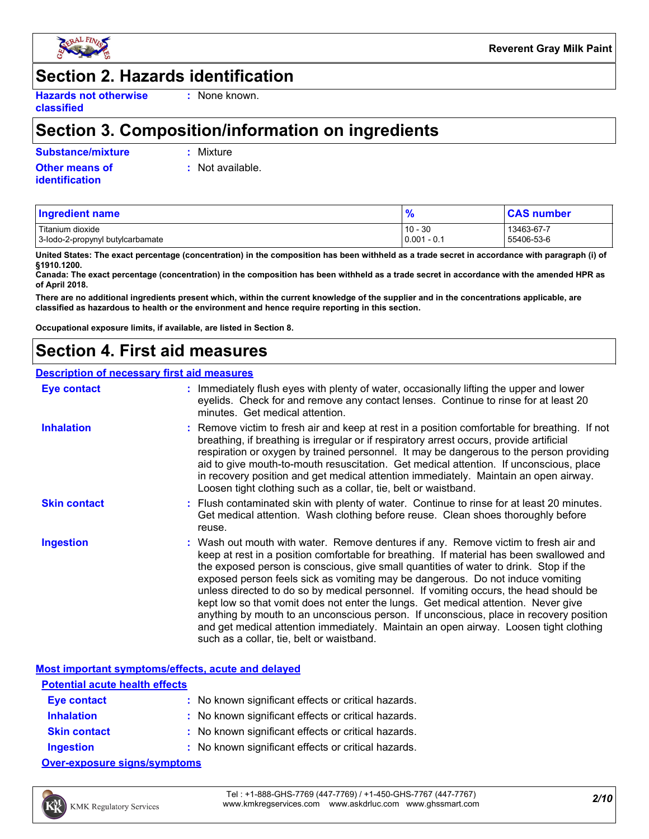

# **Section 2. Hazards identification**

**Hazards not otherwise classified**

**:** None known.

## **Section 3. Composition/information on ingredients**

**Substance/mixture :** Mixture

**Other means of identification**

**:** Not available.

| <b>Ingredient name</b>           | 70            | <b>CAS number</b> |
|----------------------------------|---------------|-------------------|
| Titanium dioxide                 | $10 - 30$     | 13463-67-7        |
| 3-lodo-2-propynyl butylcarbamate | $0.001 - 0.1$ | 55406-53-6        |

**United States: The exact percentage (concentration) in the composition has been withheld as a trade secret in accordance with paragraph (i) of §1910.1200.**

**Canada: The exact percentage (concentration) in the composition has been withheld as a trade secret in accordance with the amended HPR as of April 2018.**

**There are no additional ingredients present which, within the current knowledge of the supplier and in the concentrations applicable, are classified as hazardous to health or the environment and hence require reporting in this section.**

**Occupational exposure limits, if available, are listed in Section 8.**

# **Section 4. First aid measures**

#### **Description of necessary first aid measures**

| <b>Eye contact</b>  | : Immediately flush eyes with plenty of water, occasionally lifting the upper and lower<br>eyelids. Check for and remove any contact lenses. Continue to rinse for at least 20<br>minutes. Get medical attention.                                                                                                                                                                                                                                                                                                                                                                                                                                                                                                                                                         |
|---------------------|---------------------------------------------------------------------------------------------------------------------------------------------------------------------------------------------------------------------------------------------------------------------------------------------------------------------------------------------------------------------------------------------------------------------------------------------------------------------------------------------------------------------------------------------------------------------------------------------------------------------------------------------------------------------------------------------------------------------------------------------------------------------------|
| <b>Inhalation</b>   | : Remove victim to fresh air and keep at rest in a position comfortable for breathing. If not<br>breathing, if breathing is irregular or if respiratory arrest occurs, provide artificial<br>respiration or oxygen by trained personnel. It may be dangerous to the person providing<br>aid to give mouth-to-mouth resuscitation. Get medical attention. If unconscious, place<br>in recovery position and get medical attention immediately. Maintain an open airway.<br>Loosen tight clothing such as a collar, tie, belt or waistband.                                                                                                                                                                                                                                 |
| <b>Skin contact</b> | : Flush contaminated skin with plenty of water. Continue to rinse for at least 20 minutes.<br>Get medical attention. Wash clothing before reuse. Clean shoes thoroughly before<br>reuse.                                                                                                                                                                                                                                                                                                                                                                                                                                                                                                                                                                                  |
| <b>Ingestion</b>    | : Wash out mouth with water. Remove dentures if any. Remove victim to fresh air and<br>keep at rest in a position comfortable for breathing. If material has been swallowed and<br>the exposed person is conscious, give small quantities of water to drink. Stop if the<br>exposed person feels sick as vomiting may be dangerous. Do not induce vomiting<br>unless directed to do so by medical personnel. If vomiting occurs, the head should be<br>kept low so that vomit does not enter the lungs. Get medical attention. Never give<br>anything by mouth to an unconscious person. If unconscious, place in recovery position<br>and get medical attention immediately. Maintain an open airway. Loosen tight clothing<br>such as a collar, tie, belt or waistband. |

|                                                                                                                                                                                                                               | Most important symptoms/effects, acute and delayed  |
|-------------------------------------------------------------------------------------------------------------------------------------------------------------------------------------------------------------------------------|-----------------------------------------------------|
| <b>Potential acute health effects</b>                                                                                                                                                                                         |                                                     |
| Eye contact                                                                                                                                                                                                                   | : No known significant effects or critical hazards. |
| <b>Inhalation</b>                                                                                                                                                                                                             | : No known significant effects or critical hazards. |
| <b>Skin contact</b>                                                                                                                                                                                                           | : No known significant effects or critical hazards. |
| <b>Ingestion</b>                                                                                                                                                                                                              | : No known significant effects or critical hazards. |
| A consequence of the state of the consequence of the state of the state of the state of the state of the state of the state of the state of the state of the state of the state of the state of the state of the state of the |                                                     |

**Over-exposure signs/symptoms**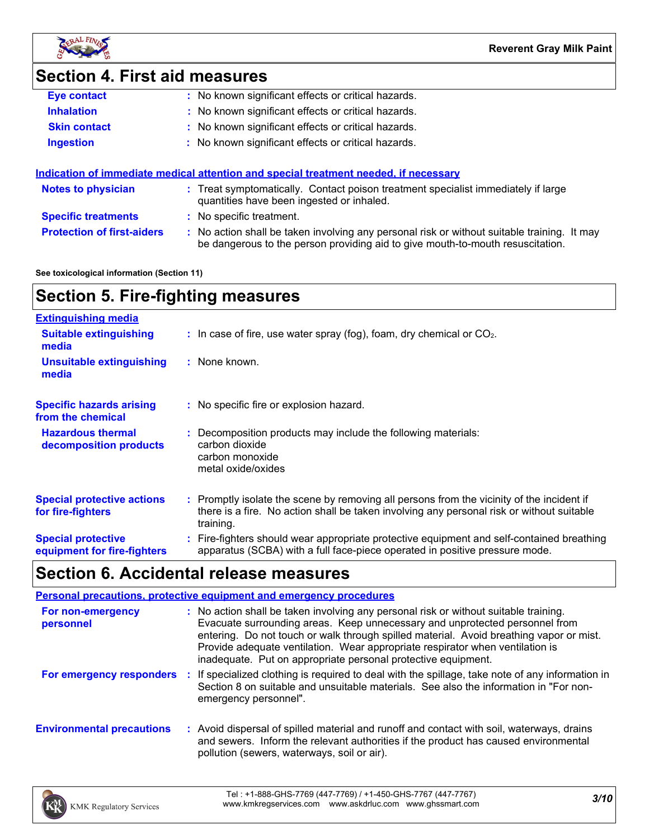

# **Section 4. First aid measures**

| <b>Eye contact</b>  | : No known significant effects or critical hazards. |
|---------------------|-----------------------------------------------------|
| <b>Inhalation</b>   | : No known significant effects or critical hazards. |
| <b>Skin contact</b> | : No known significant effects or critical hazards. |
| <b>Ingestion</b>    | : No known significant effects or critical hazards. |
|                     |                                                     |

|                                   | Indication of immediate medical attention and special treatment needed, if necessary                                                                                          |
|-----------------------------------|-------------------------------------------------------------------------------------------------------------------------------------------------------------------------------|
| <b>Notes to physician</b>         | : Treat symptomatically. Contact poison treatment specialist immediately if large<br>quantities have been ingested or inhaled.                                                |
| <b>Specific treatments</b>        | : No specific treatment.                                                                                                                                                      |
| <b>Protection of first-aiders</b> | : No action shall be taken involving any personal risk or without suitable training. It may<br>be dangerous to the person providing aid to give mouth-to-mouth resuscitation. |

**See toxicological information (Section 11)**

# **Section 5. Fire-fighting measures**

| <b>Extinguishing media</b>                               |                                                                                                                                                                                                     |
|----------------------------------------------------------|-----------------------------------------------------------------------------------------------------------------------------------------------------------------------------------------------------|
| <b>Suitable extinguishing</b><br>media                   | $\therefore$ In case of fire, use water spray (fog), foam, dry chemical or CO <sub>2</sub> .                                                                                                        |
| Unsuitable extinguishing<br>media                        | : None known.                                                                                                                                                                                       |
| <b>Specific hazards arising</b><br>from the chemical     | : No specific fire or explosion hazard.                                                                                                                                                             |
| <b>Hazardous thermal</b><br>decomposition products       | : Decomposition products may include the following materials:<br>carbon dioxide<br>carbon monoxide<br>metal oxide/oxides                                                                            |
| <b>Special protective actions</b><br>for fire-fighters   | : Promptly isolate the scene by removing all persons from the vicinity of the incident if<br>there is a fire. No action shall be taken involving any personal risk or without suitable<br>training. |
| <b>Special protective</b><br>equipment for fire-fighters | : Fire-fighters should wear appropriate protective equipment and self-contained breathing<br>apparatus (SCBA) with a full face-piece operated in positive pressure mode.                            |

# **Section 6. Accidental release measures**

|                                  | <b>Personal precautions, protective equipment and emergency procedures</b>                                                                                                                                                                                                                                                                                                                                       |
|----------------------------------|------------------------------------------------------------------------------------------------------------------------------------------------------------------------------------------------------------------------------------------------------------------------------------------------------------------------------------------------------------------------------------------------------------------|
| For non-emergency<br>personnel   | : No action shall be taken involving any personal risk or without suitable training.<br>Evacuate surrounding areas. Keep unnecessary and unprotected personnel from<br>entering. Do not touch or walk through spilled material. Avoid breathing vapor or mist.<br>Provide adequate ventilation. Wear appropriate respirator when ventilation is<br>inadequate. Put on appropriate personal protective equipment. |
| For emergency responders         | If specialized clothing is required to deal with the spillage, take note of any information in<br>Section 8 on suitable and unsuitable materials. See also the information in "For non-<br>emergency personnel".                                                                                                                                                                                                 |
| <b>Environmental precautions</b> | : Avoid dispersal of spilled material and runoff and contact with soil, waterways, drains<br>and sewers. Inform the relevant authorities if the product has caused environmental<br>pollution (sewers, waterways, soil or air).                                                                                                                                                                                  |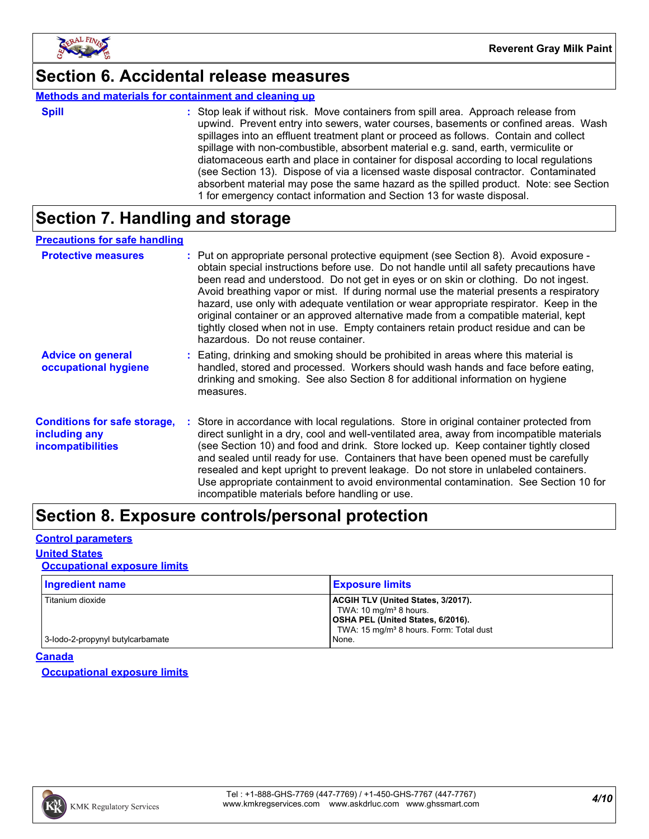

### **Section 6. Accidental release measures**

#### **Methods and materials for containment and cleaning up**

| ×<br>۰. |  |  |
|---------|--|--|

**Spill** Stop leak if without risk. Move containers from spill area. Approach release from spill upwind. Prevent entry into sewers, water courses, basements or confined areas. Wash spillages into an effluent treatment plant or proceed as follows. Contain and collect spillage with non-combustible, absorbent material e.g. sand, earth, vermiculite or diatomaceous earth and place in container for disposal according to local regulations (see Section 13). Dispose of via a licensed waste disposal contractor. Contaminated absorbent material may pose the same hazard as the spilled product. Note: see Section 1 for emergency contact information and Section 13 for waste disposal.

### **Section 7. Handling and storage**

#### **Precautions for safe handling**

| <b>Protective measures</b>                                                       | : Put on appropriate personal protective equipment (see Section 8). Avoid exposure -<br>obtain special instructions before use. Do not handle until all safety precautions have<br>been read and understood. Do not get in eyes or on skin or clothing. Do not ingest.<br>Avoid breathing vapor or mist. If during normal use the material presents a respiratory<br>hazard, use only with adequate ventilation or wear appropriate respirator. Keep in the<br>original container or an approved alternative made from a compatible material, kept<br>tightly closed when not in use. Empty containers retain product residue and can be<br>hazardous. Do not reuse container. |
|----------------------------------------------------------------------------------|--------------------------------------------------------------------------------------------------------------------------------------------------------------------------------------------------------------------------------------------------------------------------------------------------------------------------------------------------------------------------------------------------------------------------------------------------------------------------------------------------------------------------------------------------------------------------------------------------------------------------------------------------------------------------------|
| <b>Advice on general</b><br>occupational hygiene                                 | : Eating, drinking and smoking should be prohibited in areas where this material is<br>handled, stored and processed. Workers should wash hands and face before eating,<br>drinking and smoking. See also Section 8 for additional information on hygiene<br>measures.                                                                                                                                                                                                                                                                                                                                                                                                         |
| <b>Conditions for safe storage,</b><br>including any<br><b>incompatibilities</b> | : Store in accordance with local regulations. Store in original container protected from<br>direct sunlight in a dry, cool and well-ventilated area, away from incompatible materials<br>(see Section 10) and food and drink. Store locked up. Keep container tightly closed<br>and sealed until ready for use. Containers that have been opened must be carefully<br>resealed and kept upright to prevent leakage. Do not store in unlabeled containers.<br>Use appropriate containment to avoid environmental contamination. See Section 10 for<br>incompatible materials before handling or use.                                                                            |

### **Section 8. Exposure controls/personal protection**

#### **Control parameters**

#### **United States**

#### **Occupational exposure limits**

| <b>Ingredient name</b>           | <b>Exposure limits</b>                              |
|----------------------------------|-----------------------------------------------------|
| Titanium dioxide                 | <b>ACGIH TLV (United States, 3/2017).</b>           |
|                                  | TWA: $10 \text{ mg/m}^3$ 8 hours.                   |
|                                  | OSHA PEL (United States, 6/2016).                   |
|                                  | TWA: 15 mg/m <sup>3</sup> 8 hours. Form: Total dust |
| 3-lodo-2-propynyl butylcarbamate | None.                                               |

#### **Canada**

**Occupational exposure limits**

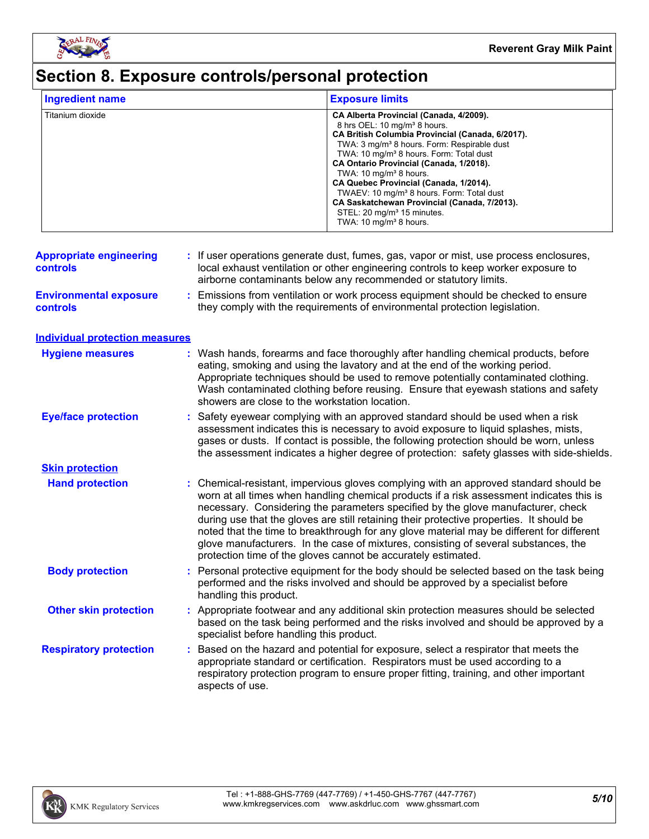

# **Section 8. Exposure controls/personal protection**

| <b>Ingredient name</b>                     |                                                               | <b>Exposure limits</b>                                                                                                                                                                                                                                                                                                                                                                                                                                                                                                                                                        |
|--------------------------------------------|---------------------------------------------------------------|-------------------------------------------------------------------------------------------------------------------------------------------------------------------------------------------------------------------------------------------------------------------------------------------------------------------------------------------------------------------------------------------------------------------------------------------------------------------------------------------------------------------------------------------------------------------------------|
| Titanium dioxide                           |                                                               | CA Alberta Provincial (Canada, 4/2009).<br>8 hrs OEL: 10 mg/m <sup>3</sup> 8 hours.<br>CA British Columbia Provincial (Canada, 6/2017).<br>TWA: 3 mg/m <sup>3</sup> 8 hours. Form: Respirable dust<br>TWA: 10 mg/m <sup>3</sup> 8 hours. Form: Total dust<br>CA Ontario Provincial (Canada, 1/2018).<br>TWA: 10 mg/m <sup>3</sup> 8 hours.<br>CA Quebec Provincial (Canada, 1/2014).<br>TWAEV: 10 mg/m <sup>3</sup> 8 hours. Form: Total dust<br>CA Saskatchewan Provincial (Canada, 7/2013).<br>STEL: 20 mg/m <sup>3</sup> 15 minutes.<br>TWA: 10 mg/m <sup>3</sup> 8 hours. |
| <b>Appropriate engineering</b><br>controls |                                                               | : If user operations generate dust, fumes, gas, vapor or mist, use process enclosures,<br>local exhaust ventilation or other engineering controls to keep worker exposure to<br>airborne contaminants below any recommended or statutory limits.                                                                                                                                                                                                                                                                                                                              |
| <b>Environmental exposure</b><br>controls  | ÷.                                                            | Emissions from ventilation or work process equipment should be checked to ensure<br>they comply with the requirements of environmental protection legislation.                                                                                                                                                                                                                                                                                                                                                                                                                |
| <b>Individual protection measures</b>      |                                                               |                                                                                                                                                                                                                                                                                                                                                                                                                                                                                                                                                                               |
| <b>Hygiene measures</b>                    | showers are close to the workstation location.                | : Wash hands, forearms and face thoroughly after handling chemical products, before<br>eating, smoking and using the lavatory and at the end of the working period.<br>Appropriate techniques should be used to remove potentially contaminated clothing.<br>Wash contaminated clothing before reusing. Ensure that eyewash stations and safety                                                                                                                                                                                                                               |
| <b>Eye/face protection</b>                 |                                                               | Safety eyewear complying with an approved standard should be used when a risk<br>assessment indicates this is necessary to avoid exposure to liquid splashes, mists,<br>gases or dusts. If contact is possible, the following protection should be worn, unless<br>the assessment indicates a higher degree of protection: safety glasses with side-shields.                                                                                                                                                                                                                  |
| <b>Skin protection</b>                     |                                                               |                                                                                                                                                                                                                                                                                                                                                                                                                                                                                                                                                                               |
| <b>Hand protection</b>                     | protection time of the gloves cannot be accurately estimated. | Chemical-resistant, impervious gloves complying with an approved standard should be<br>worn at all times when handling chemical products if a risk assessment indicates this is<br>necessary. Considering the parameters specified by the glove manufacturer, check<br>during use that the gloves are still retaining their protective properties. It should be<br>noted that the time to breakthrough for any glove material may be different for different<br>glove manufacturers. In the case of mixtures, consisting of several substances, the                           |
| <b>Body protection</b>                     | handling this product.                                        | : Personal protective equipment for the body should be selected based on the task being<br>performed and the risks involved and should be approved by a specialist before                                                                                                                                                                                                                                                                                                                                                                                                     |
| <b>Other skin protection</b>               | specialist before handling this product.                      | Appropriate footwear and any additional skin protection measures should be selected<br>based on the task being performed and the risks involved and should be approved by a                                                                                                                                                                                                                                                                                                                                                                                                   |
| <b>Respiratory protection</b>              | aspects of use.                                               | Based on the hazard and potential for exposure, select a respirator that meets the<br>appropriate standard or certification. Respirators must be used according to a<br>respiratory protection program to ensure proper fitting, training, and other important                                                                                                                                                                                                                                                                                                                |

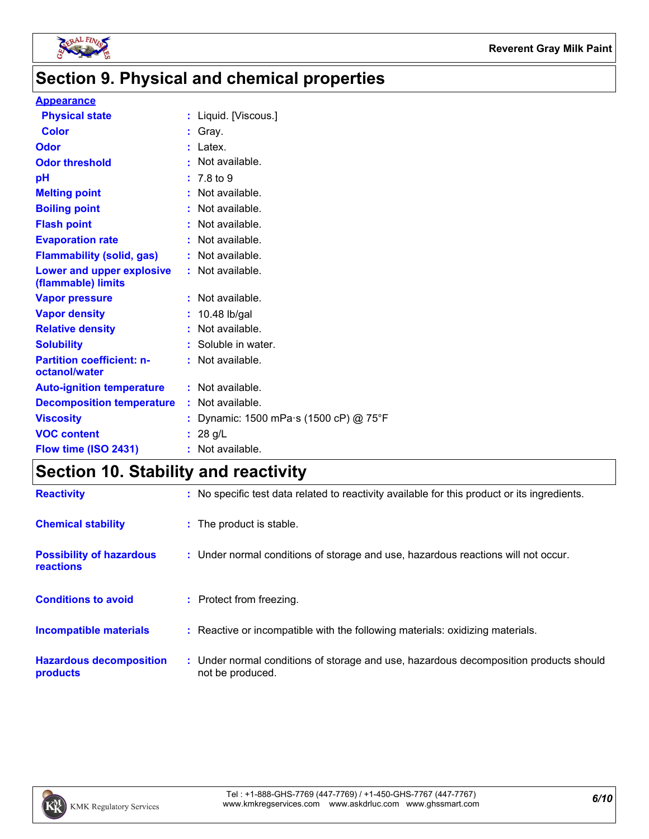

# **Section 9. Physical and chemical properties**

#### **Appearance**

| <b>Physical state</b>                             | : Liquid. [Viscous.]                 |
|---------------------------------------------------|--------------------------------------|
| <b>Color</b>                                      | $:$ Gray.                            |
| Odor                                              | Latex.                               |
| <b>Odor threshold</b>                             | Not available.                       |
| pH                                                | : 7.8 to 9                           |
| <b>Melting point</b>                              | Not available.                       |
| <b>Boiling point</b>                              | Not available.                       |
| <b>Flash point</b>                                | Not available.                       |
| <b>Evaporation rate</b>                           | Not available.                       |
| <b>Flammability (solid, gas)</b>                  | : Not available.                     |
| Lower and upper explosive<br>(flammable) limits   | : Not available.                     |
| <b>Vapor pressure</b>                             | Not available.                       |
| <b>Vapor density</b>                              | : 10.48 lb/gal                       |
| <b>Relative density</b>                           | Not available.                       |
| <b>Solubility</b>                                 | Soluble in water.                    |
| <b>Partition coefficient: n-</b><br>octanol/water | Not available.                       |
| <b>Auto-ignition temperature</b>                  | : Not available.                     |
| <b>Decomposition temperature</b>                  | : Not available.                     |
| <b>Viscosity</b>                                  | Dynamic: 1500 mPa·s (1500 cP) @ 75°F |
| <b>VOC content</b>                                | : 28 g/L                             |
| Flow time (ISO 2431)                              | : Not available.                     |
|                                                   |                                      |

# **Section 10. Stability and reactivity**

| <b>Reactivity</b>                                   | : No specific test data related to reactivity available for this product or its ingredients.              |
|-----------------------------------------------------|-----------------------------------------------------------------------------------------------------------|
| <b>Chemical stability</b>                           | : The product is stable.                                                                                  |
| <b>Possibility of hazardous</b><br><b>reactions</b> | : Under normal conditions of storage and use, hazardous reactions will not occur.                         |
| <b>Conditions to avoid</b>                          | : Protect from freezing.                                                                                  |
| <b>Incompatible materials</b>                       | : Reactive or incompatible with the following materials: oxidizing materials.                             |
| <b>Hazardous decomposition</b><br>products          | : Under normal conditions of storage and use, hazardous decomposition products should<br>not be produced. |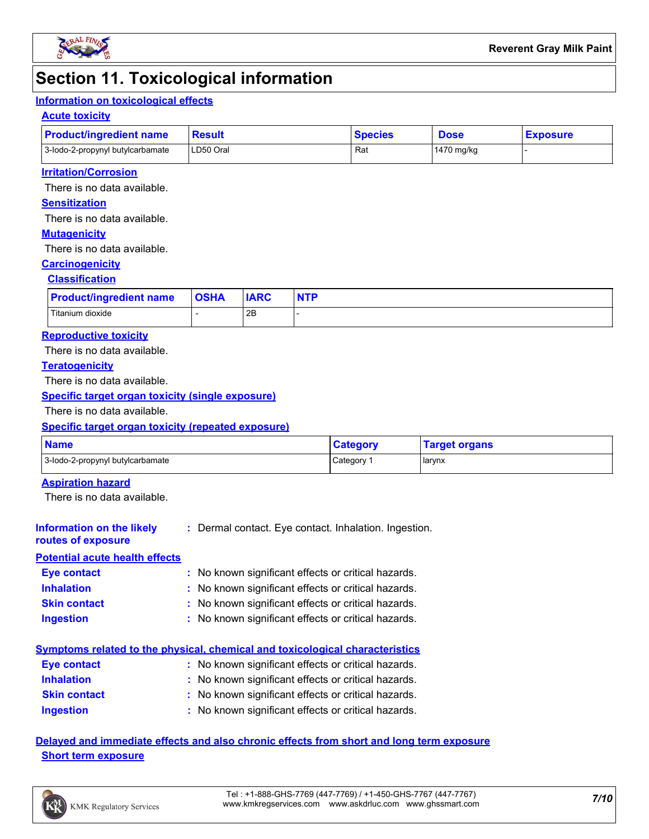

# **Section 11. Toxicological information**

#### **Information on toxicological effects**

#### **Acute toxicity**

| <b>Product/ingredient name</b>   | <b>Result</b> | <b>Species</b> | <b>Dose</b>  | <b>Exposure</b> |
|----------------------------------|---------------|----------------|--------------|-----------------|
| 3-lodo-2-propynyl butylcarbamate | LD50 Oral     | Ra.            | l 1470 ma/ka |                 |

#### **Irritation/Corrosion**

There is no data available.

#### **Sensitization**

There is no data available.

#### **Mutagenicity**

There is no data available.

#### **Carcinogenicity**

#### **Classification**

| <b>Product/ingredient name</b> | <b>OSHA</b> | <b>IARC</b> | <b>NTP</b> |
|--------------------------------|-------------|-------------|------------|
| Titanium dioxide               |             | 2B          |            |

#### **Reproductive toxicity**

There is no data available.

#### **Teratogenicity**

There is no data available.

#### **Specific target organ toxicity (single exposure)**

There is no data available.

#### **Specific target organ toxicity (repeated exposure)**

| <b>Name</b>                      | <b>Category</b> | <b>Target organs</b> |
|----------------------------------|-----------------|----------------------|
| 3-lodo-2-propynyl butylcarbamate | Category        | larynx               |

#### **Aspiration hazard**

There is no data available.

#### **Information on the likely :** Dermal contact. Eye contact. Inhalation. Ingestion.

#### **routes of exposure Potential acute health effects**

| <b>Eye contact</b>  | : No known significant effects or critical hazards. |
|---------------------|-----------------------------------------------------|
| <b>Inhalation</b>   | : No known significant effects or critical hazards. |
| <b>Skin contact</b> | : No known significant effects or critical hazards. |
| <b>Ingestion</b>    | : No known significant effects or critical hazards. |

#### **Symptoms related to the physical, chemical and toxicological characteristics**

| <b>Eye contact</b>  | : No known significant effects or critical hazards. |
|---------------------|-----------------------------------------------------|
| <b>Inhalation</b>   | : No known significant effects or critical hazards. |
| <b>Skin contact</b> | : No known significant effects or critical hazards. |
| <b>Ingestion</b>    | : No known significant effects or critical hazards. |

**Delayed and immediate effects and also chronic effects from short and long term exposure Short term exposure**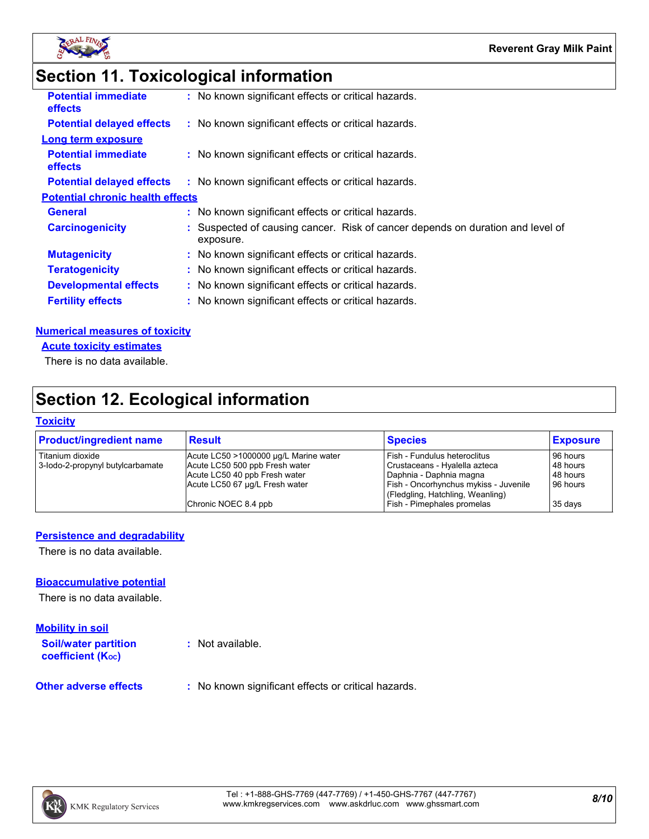

# **Section 11. Toxicological information**

| <b>Potential immediate</b><br><b>effects</b> | : No known significant effects or critical hazards.                                         |
|----------------------------------------------|---------------------------------------------------------------------------------------------|
| <b>Potential delayed effects</b>             | : No known significant effects or critical hazards.                                         |
| <b>Long term exposure</b>                    |                                                                                             |
| <b>Potential immediate</b><br>effects        | : No known significant effects or critical hazards.                                         |
| <b>Potential delayed effects</b>             | : No known significant effects or critical hazards.                                         |
| <b>Potential chronic health effects</b>      |                                                                                             |
| <b>General</b>                               | : No known significant effects or critical hazards.                                         |
| <b>Carcinogenicity</b>                       | : Suspected of causing cancer. Risk of cancer depends on duration and level of<br>exposure. |
| <b>Mutagenicity</b>                          | : No known significant effects or critical hazards.                                         |
| <b>Teratogenicity</b>                        | : No known significant effects or critical hazards.                                         |
| <b>Developmental effects</b>                 | : No known significant effects or critical hazards.                                         |
| <b>Fertility effects</b>                     | : No known significant effects or critical hazards.                                         |
|                                              |                                                                                             |

#### **Numerical measures of toxicity**

**Acute toxicity estimates**

There is no data available.

# **Section 12. Ecological information**

#### **Toxicity**

| <b>Product/ingredient name</b>   | <b>Result</b>                         | <b>Species</b>                                                            | <b>Exposure</b> |
|----------------------------------|---------------------------------------|---------------------------------------------------------------------------|-----------------|
| Titanium dioxide                 | Acute LC50 >1000000 µg/L Marine water | Fish - Fundulus heteroclitus                                              | 96 hours        |
| 3-lodo-2-propynyl butylcarbamate | Acute LC50 500 ppb Fresh water        | Crustaceans - Hyalella azteca                                             | 48 hours        |
|                                  | Acute LC50 40 ppb Fresh water         | Daphnia - Daphnia magna                                                   | 48 hours        |
|                                  | Acute LC50 67 µg/L Fresh water        | Fish - Oncorhynchus mykiss - Juvenile<br>(Fledgling, Hatchling, Weanling) | 96 hours        |
|                                  | Chronic NOEC 8.4 ppb                  | Fish - Pimephales promelas                                                | 35 days         |

#### **Persistence and degradability**

There is no data available.

#### **Bioaccumulative potential**

There is no data available.

#### **Mobility in soil**

**Soil/water partition coefficient (KOC)**

**:** Not available.

**Other adverse effects** : No known significant effects or critical hazards.

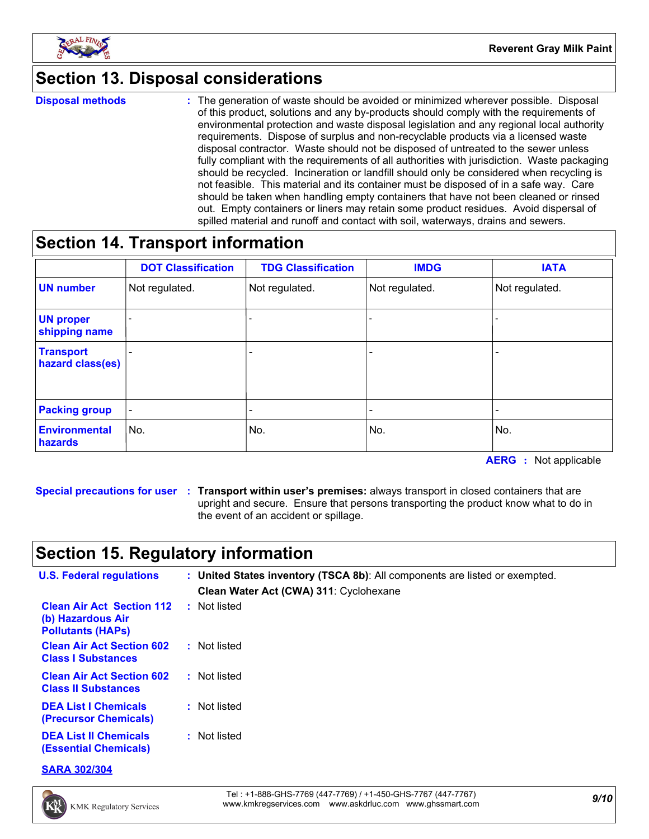

# **Section 13. Disposal considerations**

**Disposal methods :**

The generation of waste should be avoided or minimized wherever possible. Disposal of this product, solutions and any by-products should comply with the requirements of environmental protection and waste disposal legislation and any regional local authority requirements. Dispose of surplus and non-recyclable products via a licensed waste disposal contractor. Waste should not be disposed of untreated to the sewer unless fully compliant with the requirements of all authorities with jurisdiction. Waste packaging should be recycled. Incineration or landfill should only be considered when recycling is not feasible. This material and its container must be disposed of in a safe way. Care should be taken when handling empty containers that have not been cleaned or rinsed out. Empty containers or liners may retain some product residues. Avoid dispersal of spilled material and runoff and contact with soil, waterways, drains and sewers.

# **Section 14. Transport information**

|                                        | <b>DOT Classification</b> | <b>TDG Classification</b> | <b>IMDG</b>    | <b>IATA</b>              |
|----------------------------------------|---------------------------|---------------------------|----------------|--------------------------|
| <b>UN number</b>                       | Not regulated.            | Not regulated.            | Not regulated. | Not regulated.           |
| <b>UN proper</b><br>shipping name      |                           |                           |                |                          |
| <b>Transport</b><br>hazard class(es)   |                           | $\overline{\phantom{0}}$  |                |                          |
| <b>Packing group</b>                   | $\overline{\phantom{a}}$  | -                         |                | $\overline{\phantom{a}}$ |
| <b>Environmental</b><br><b>hazards</b> | No.                       | No.                       | No.            | No.                      |

**AERG :** Not applicable

**Special precautions for user Transport within user's premises:** always transport in closed containers that are **:** upright and secure. Ensure that persons transporting the product know what to do in the event of an accident or spillage.

# **Section 15. Regulatory information**

| <b>U.S. Federal regulations</b>                                                   | : United States inventory (TSCA 8b): All components are listed or exempted.<br>Clean Water Act (CWA) 311: Cyclohexane |
|-----------------------------------------------------------------------------------|-----------------------------------------------------------------------------------------------------------------------|
| <b>Clean Air Act Section 112</b><br>(b) Hazardous Air<br><b>Pollutants (HAPS)</b> | : Not listed                                                                                                          |
| <b>Clean Air Act Section 602</b><br><b>Class I Substances</b>                     | : Not listed                                                                                                          |
| <b>Clean Air Act Section 602</b><br><b>Class II Substances</b>                    | : Not listed                                                                                                          |
| <b>DEA List I Chemicals</b><br><b>(Precursor Chemicals)</b>                       | : Not listed                                                                                                          |
| <b>DEA List II Chemicals</b><br><b>(Essential Chemicals)</b>                      | : Not listed                                                                                                          |

**SARA 302/304**